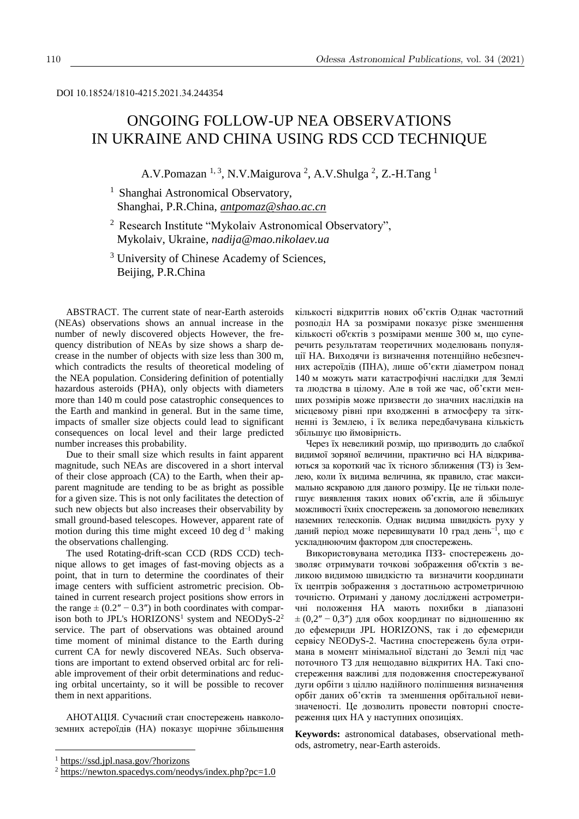# ONGOING FOLLOW-UP NEA OBSERVATIONS IN UKRAINE AND CHINA USING RDS CCD TECHNIQUE

A.V.Pomazan <sup>1, 3</sup>, N.V.Maigurova <sup>2</sup>, A.V.Shulga <sup>2</sup>, Z.-H.Tang <sup>1</sup>

<sup>1</sup> Shanghai Astronomical Observatory, Shanghai, P.R.China, *antpomaz@shao.ac.cn*

<sup>2</sup> Research Institute "Mykolaiv Astronomical Observatory", Mykolaiv, Ukraine, *nadija@mao.nikolaev.ua*

<sup>3</sup> University of Chinese Academy of Sciences, Beijing, P.R.China

ABSTRACT. The current state of near-Earth asteroids (NEAs) observations shows an annual increase in the number of newly discovered objects However, the frequency distribution of NEAs by size shows a sharp decrease in the number of objects with size less than 300 m, which contradicts the results of theoretical modeling of the NEA population. Considering definition of potentially hazardous asteroids (PHA), only objects with diameters more than 140 m could pose catastrophic consequences to the Earth and mankind in general. But in the same time, impacts of smaller size objects could lead to significant consequences on local level and their large predicted number increases this probability.

Due to their small size which results in faint apparent magnitude, such NEAs are discovered in a short interval of their close approach (CA) to the Earth, when their apparent magnitude are tending to be as bright as possible for a given size. This is not only facilitates the detection of such new objects but also increases their observability by small ground-based telescopes. However, apparent rate of motion during this time might exceed 10 deg  $d^{-1}$  making the observations challenging.

The used Rotating-drift-scan CCD (RDS CCD) technique allows to get images of fast-moving objects as a point, that in turn to determine the coordinates of their image centers with sufficient astrometric precision. Obtained in current research project positions show errors in the range  $\pm (0.2'' - 0.3'')$  in both coordinates with comparison both to JPL's HORIZONS<sup>1</sup> system and NEODyS- $2^2$ service. The part of observations was obtained around time moment of minimal distance to the Earth during current CA for newly discovered NEAs. Such observations are important to extend observed orbital arc for reliable improvement of their orbit determinations and reducing orbital uncertainty, so it will be possible to recover them in next apparitions.

АНОТАЦІЯ. Сучасний стан спостережень навколоземних астероїдів (НА) показує щорічне збільшення

1

кількості відкриттів нових об'єктів Однак частотний розподіл НА за розмірами показує різке зменшення кількості об'єктів з розмірами менше 300 м, що суперечить результатам теоретичних моделювань популяції НА. Виходячи із визначення потенційно небезпечних астероїдів (ПНА), лише об'єкти діаметром понад 140 м можуть мати катастрофічні наслідки для Землі та людства в цілому. Але в той же час, об'єкти менших розмірів може призвести до значних наслідків на місцевому рівні при входженні в атмосферу та зіткненні із Землею, і їх велика передбачувана кількість збільшує цю ймовірність.

Через їх невеликий розмір, що призводить до слабкої видимої зоряної величини, практично всі НА відкриваються за короткий час їх тісного зближення (ТЗ) із Землею, коли їх видима величина, як правило, стає максимально яскравою для даного розміру. Це не тільки полегшує виявлення таких нових об'єктів, але й збільшує можливості їхніх спостережень за допомогою невеликих наземних телескопів. Однак видима швидкість руху у даний період може перевищувати 10 град день<sup>-1</sup>, що є ускладнюючим фактором для спостережень.

Використовувана методика ПЗЗ- спостережень дозволяє отримувати точкові зображення об'єктів з великою видимою швидкістю та визначити координати їх центрів зображення з достатньою астрометричною точністю. Отримані у даному досліджені астрометричні положення НА мають похибки в діапазоні  $\pm (0, 2'' - 0, 3'')$  для обох координат по відношенню як до ефемериди JPL HORIZONS, так і до ефемериди сервісу NEODyS-2. Частина спостережень була отримана в момент мінімальної відстані до Землі під час поточного ТЗ для нещодавно відкритих НА. Такі спостереження важливі для подовження спостережуваної дуги орбіти з ціллю надійного поліпшення визначення орбіт даних об'єктів та зменшення орбітальної невизначеності. Це дозволить провести повторні спостереження цих НА у наступних опозиціях.

**Keywords:** astronomical databases, observational methods, astrometry, near-Earth asteroids.

<sup>1</sup> [https://ssd.jpl.nasa.gov/?horizons](https://newton.spacedys.com/neodys/index.php?pc=1.0)

 $2 \frac{\text{https://newton.spacedys.com/neodys/index.php?pc=1.0}}{$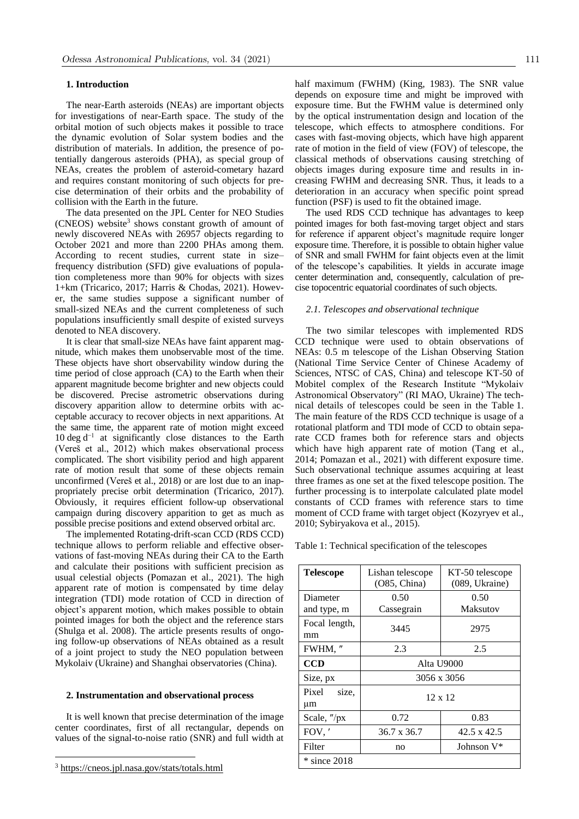### **1. Introduction**

The near-Earth asteroids (NEAs) are important objects for investigations of near-Earth space. The study of the orbital motion of such objects makes it possible to trace the dynamic evolution of Solar system bodies and the distribution of materials. In addition, the presence of potentially dangerous asteroids (PHA), as special group of NEAs, creates the problem of asteroid-cometary hazard and requires constant monitoring of such objects for precise determination of their orbits and the probability of collision with the Earth in the future.

The data presented on the JPL Center for NEO Studies  $(CNEOS)$  website<sup>3</sup> shows constant growth of amount of newly discovered NEAs with 26957 objects regarding to October 2021 and more than 2200 PHAs among them. According to recent studies, current state in size– frequency distribution (SFD) give evaluations of population completeness more than 90% for objects with sizes 1+km (Tricarico, 2017; Harris & Chodas, 2021). However, the same studies suppose a significant number of small-sized NEAs and the current completeness of such populations insufficiently small despite of existed surveys denoted to NEA discovery.

It is clear that small-size NEAs have faint apparent magnitude, which makes them unobservable most of the time. These objects have short observability window during the time period of close approach (CA) to the Earth when their apparent magnitude become brighter and new objects could be discovered. Precise astrometric observations during discovery apparition allow to determine orbits with acceptable accuracy to recover objects in next apparitions. At the same time, the apparent rate of motion might exceed 10 deg d −1 at significantly close distances to the Earth (Vereš et al., 2012) which makes observational process complicated. The short visibility period and high apparent rate of motion result that some of these objects remain unconfirmed (Vereš et al., 2018) or are lost due to an inappropriately precise orbit determination (Tricarico, 2017). Obviously, it requires efficient follow-up observational campaign during discovery apparition to get as much as possible precise positions and extend observed orbital arc.

The implemented Rotating-drift-scan CCD (RDS CCD) technique allows to perform reliable and effective observations of fast-moving NEAs during their CA to the Earth and calculate their positions with sufficient precision as usual celestial objects (Pomazan et al., 2021). The high apparent rate of motion is compensated by time delay integration (TDI) mode rotation of CCD in direction of object's apparent motion, which makes possible to obtain pointed images for both the object and the reference stars (Shulga et al. 2008). The article presents results of ongoing follow-up observations of NEAs obtained as a result of a joint project to study the NEO population between Mykolaiv (Ukraine) and Shanghai observatories (China).

## **2. Instrumentation and observational process**

It is well known that precise determination of the image center coordinates, first of all rectangular, depends on values of the signal-to-noise ratio (SNR) and full width at

1

half maximum (FWHM) (King, 1983). The SNR value depends on exposure time and might be improved with exposure time. But the FWHM value is determined only by the optical instrumentation design and location of the telescope, which effects to atmosphere conditions. For cases with fast-moving objects, which have high apparent rate of motion in the field of view (FOV) of telescope, the classical methods of observations causing stretching of objects images during exposure time and results in increasing FWHM and decreasing SNR. Thus, it leads to a deterioration in an accuracy when specific point spread function (PSF) is used to fit the obtained image.

The used RDS CCD technique has advantages to keep pointed images for both fast-moving target object and stars for reference if apparent object's magnitude require longer exposure time. Therefore, it is possible to obtain higher value of SNR and small FWHM for faint objects even at the limit of the telescope's capabilities. It yields in accurate image center determination and, consequently, calculation of precise topocentric equatorial coordinates of such objects.

#### *2.1. Telescopes and observational technique*

The two similar telescopes with implemented RDS CCD technique were used to obtain observations of NEAs: 0.5 m telescope of the Lishan Observing Station (National Time Service Center of Chinese Academy of Sciences, NTSC of CAS, China) and telescope KT-50 of Mobitel complex of the Research Institute "Mykolaiv Astronomical Observatory" (RI MAO, Ukraine) The technical details of telescopes could be seen in the Table 1. The main feature of the RDS CCD technique is usage of a rotational platform and TDI mode of CCD to obtain separate CCD frames both for reference stars and objects which have high apparent rate of motion (Tang et al., 2014; Pomazan et al., 2021) with different exposure time. Such observational technique assumes acquiring at least three frames as one set at the fixed telescope position. The further processing is to interpolate calculated plate model constants of CCD frames with reference stars to time moment of CCD frame with target object (Kozyryev et al., 2010; Sybiryakova et al., 2015).

Table 1: Technical specification of the telescopes

| <b>Telescope</b>        | Lishan telescope<br>(O85, China) | KT-50 telescope<br>(089, Ukraine) |  |  |
|-------------------------|----------------------------------|-----------------------------------|--|--|
| Diameter<br>and type, m | 0.50<br>Cassegrain               | 0.50<br>Maksutov                  |  |  |
| Focal length,<br>mm     | 3445                             | 2975                              |  |  |
| FWHM, "                 | 2.3                              | 2.5                               |  |  |
| <b>CCD</b>              | Alta U9000                       |                                   |  |  |
| Size, px                | 3056 x 3056                      |                                   |  |  |
| Pixel<br>size,<br>μm    | $12 \times 12$                   |                                   |  |  |
| Scale, "/px             | 0.72                             | 0.83                              |  |  |
| FOV,                    | 36.7 x 36.7                      | 42.5 x 42.5                       |  |  |
| Filter                  | no                               | Johnson V*                        |  |  |
| $*$ since 2018          |                                  |                                   |  |  |

<sup>3</sup> <https://cneos.jpl.nasa.gov/stats/totals.html>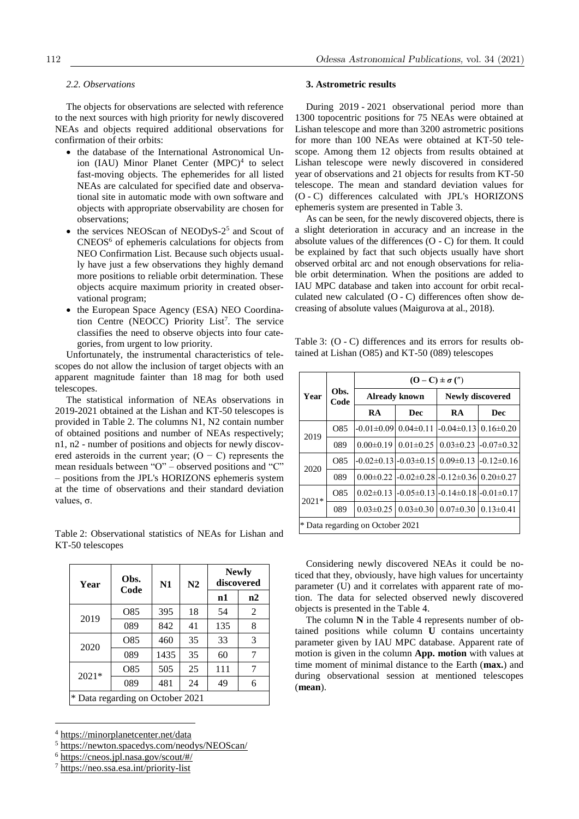# *2.2. Observations*

The objects for observations are selected with reference to the next sources with high priority for newly discovered NEAs and objects required additional observations for confirmation of their orbits:

- the database of the International Astronomical Union (IAU) Minor Planet Center (MPC)<sup>4</sup> to select fast-moving objects. The ephemerides for all listed NEAs are calculated for specified date and observational site in automatic mode with own software and objects with appropriate observability are chosen for observations;
- $\bullet$  the services NEOScan of NEODyS-2<sup>5</sup> and Scout of  $CNEOS<sup>6</sup>$  of ephemeris calculations for objects from NEO Confirmation List. Because such objects usually have just a few observations they highly demand more positions to reliable orbit determination. These objects acquire maximum priority in created observational program;
- the European Space Agency (ESA) NEO Coordination Centre (NEOCC) Priority List<sup>7</sup>. The service classifies the need to observe objects into four categories, from urgent to low priority.

Unfortunately, the instrumental characteristics of telescopes do not allow the inclusion of target objects with an apparent magnitude fainter than 18 mag for both used telescopes.

The statistical information of NEAs observations in 2019-2021 obtained at the Lishan and KT-50 telescopes is provided in Table 2. The columns N1, N2 contain number of obtained positions and number of NEAs respectively; n1, n2 - number of positions and objects for newly discovered asteroids in the current year;  $(O - C)$  represents the mean residuals between "O" – observed positions and "C" – positions from the JPL's HORIZONS ephemeris system at the time of observations and their standard deviation values, σ.

Table 2: Observational statistics of NEAs for Lishan and KT-50 telescopes

| Year                             | Obs.<br>Code | N1   | N2 | <b>Newly</b><br>discovered |                |
|----------------------------------|--------------|------|----|----------------------------|----------------|
|                                  |              |      |    | n1                         | n2             |
| 2019                             | O85          | 395  | 18 | 54                         | $\overline{2}$ |
|                                  | 089          | 842  | 41 | 135                        | 8              |
| 2020                             | O85          | 460  | 35 | 33                         | 3              |
|                                  | 089          | 1435 | 35 | 60                         | 7              |
| $2021*$                          | O85          | 505  | 25 | 111                        | 7              |
|                                  | 089          | 481  | 24 | 49                         | 6              |
| * Data regarding on October 2021 |              |      |    |                            |                |

[https://minorplanetcenter.net/data](https://newton.spacedys.com/neodys/NEOScan/)

1

## **3. Astrometric results**

During 2019 - 2021 observational period more than 1300 topocentric positions for 75 NEAs were obtained at Lishan telescope and more than 3200 astrometric positions for more than 100 NEAs were obtained at KT-50 telescope. Among them 12 objects from results obtained at Lishan telescope were newly discovered in considered year of observations and 21 objects for results from KT-50 telescope. The mean and standard deviation values for (O - C) differences calculated with JPL's HORIZONS ephemeris system are presented in Table 3.

As can be seen, for the newly discovered objects, there is a slight deterioration in accuracy and an increase in the absolute values of the differences (O - C) for them. It could be explained by fact that such objects usually have short observed orbital arc and not enough observations for reliable orbit determination. When the positions are added to IAU MPC database and taken into account for orbit recalculated new calculated (O - C) differences often show decreasing of absolute values (Maigurova at al., 2018).

Table 3: (O - C) differences and its errors for results obtained at Lishan (O85) and KT-50 (089) telescopes

| Year                             | Obs.<br>Code    | $(O - C) \pm \sigma$ (") |                               |                                                                  |                                  |  |
|----------------------------------|-----------------|--------------------------|-------------------------------|------------------------------------------------------------------|----------------------------------|--|
|                                  |                 |                          | <b>Already known</b>          | <b>Newly discovered</b>                                          |                                  |  |
|                                  |                 | <b>RA</b>                | Dec                           | RA                                                               | <b>Dec</b>                       |  |
| 2019                             | O85             | $-0.01 \pm 0.09$         | $0.04 \pm 0.11$               | $-0.04\pm0.13$ 0.16 $\pm$ 0.20                                   |                                  |  |
|                                  | 089             |                          | $0.00\pm0.19$   $0.01\pm0.25$ |                                                                  | $0.03 \pm 0.23$ -0.07 $\pm 0.32$ |  |
| 2020                             | O <sub>85</sub> |                          |                               | $-0.02\pm0.13$ $-0.03\pm0.15$ $0.09\pm0.13$ $-0.12\pm0.16$       |                                  |  |
|                                  | 089             |                          |                               | $0.00\pm0.22$ -0.02 $\pm0.28$ -0.12 $\pm0.36$ 0.20 $\pm0.27$     |                                  |  |
| $2021*$                          | O85             |                          |                               | $0.02\pm0.13$ -0.05 $\pm$ 0.13 -0.14 $\pm$ 0.18 -0.01 $\pm$ 0.17 |                                  |  |
|                                  | 089             | $0.03 \pm 0.25$          |                               | $0.03 \pm 0.30$   $0.07 \pm 0.30$                                | $0.13 \pm 0.41$                  |  |
| * Data regarding on October 2021 |                 |                          |                               |                                                                  |                                  |  |

Considering newly discovered NEAs it could be noticed that they, obviously, have high values for uncertainty parameter (U) and it correlates with apparent rate of motion. The data for selected observed newly discovered objects is presented in the Table 4.

The column **N** in the Table 4 represents number of obtained positions while column **U** contains uncertainty parameter given by IAU MPC database. Apparent rate of motion is given in the column **App. motion** with values at time moment of minimal distance to the Earth (**max.**) and during observational session at mentioned telescopes (**mean**).

<sup>5</sup> [https://newton.spacedys.com/neody](https://cneos.jpl.nasa.gov/scout/#/)s/NEOScan/

<sup>6</sup> [https://cneos.jpl.nasa.gov/scout/#/](https://neo.ssa.esa.int/priority-list)

<sup>7</sup> https://neo.ssa.esa.int/priority-list